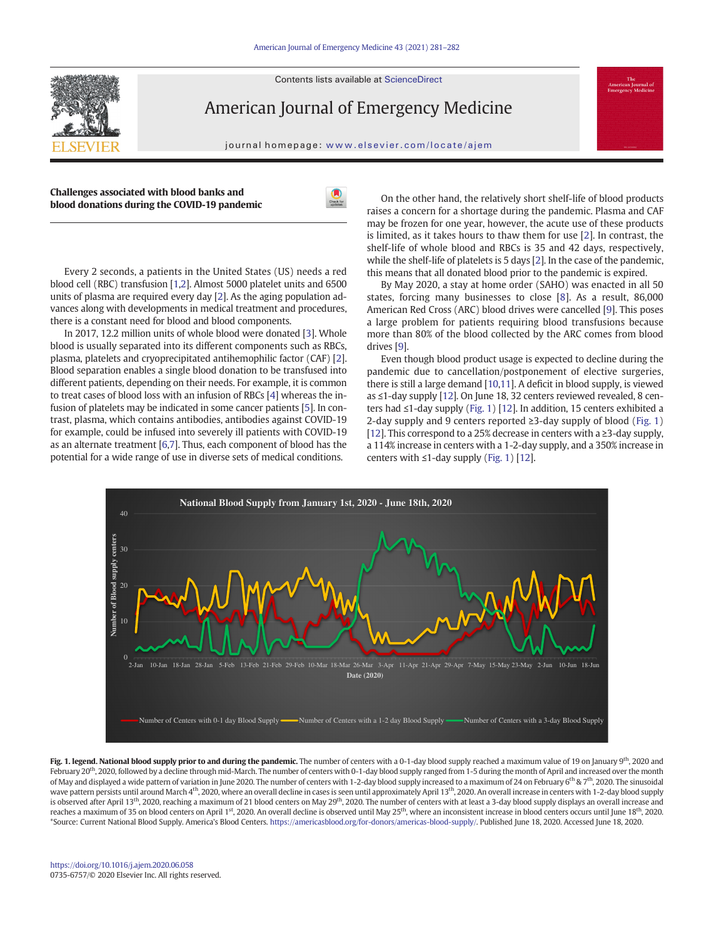Contents lists available at ScienceDirect



American Journal of Emergency Medicine

journal homepage: <www.elsevier.com/locate/ajem>

| Challenges associated with blood banks and   |
|----------------------------------------------|
| blood donations during the COVID-19 pandemic |



Every 2 seconds, a patients in the United States (US) needs a red blood cell (RBC) transfusion [[1,2](#page-1-0)]. Almost 5000 platelet units and 6500 units of plasma are required every day [\[2\]](#page-1-0). As the aging population advances along with developments in medical treatment and procedures, there is a constant need for blood and blood components.

In 2017, 12.2 million units of whole blood were donated [\[3](#page-1-0)]. Whole blood is usually separated into its different components such as RBCs, plasma, platelets and cryoprecipitated antihemophilic factor (CAF) [[2](#page-1-0)]. Blood separation enables a single blood donation to be transfused into different patients, depending on their needs. For example, it is common to treat cases of blood loss with an infusion of RBCs [[4](#page-1-0)] whereas the infusion of platelets may be indicated in some cancer patients [[5](#page-1-0)]. In contrast, plasma, which contains antibodies, antibodies against COVID-19 for example, could be infused into severely ill patients with COVID-19 as an alternate treatment [\[6,7\]](#page-1-0). Thus, each component of blood has the potential for a wide range of use in diverse sets of medical conditions.

On the other hand, the relatively short shelf-life of blood products raises a concern for a shortage during the pandemic. Plasma and CAF may be frozen for one year, however, the acute use of these products is limited, as it takes hours to thaw them for use [\[2\]](#page-1-0). In contrast, the shelf-life of whole blood and RBCs is 35 and 42 days, respectively, while the shelf-life of platelets is 5 days [\[2\]](#page-1-0). In the case of the pandemic, this means that all donated blood prior to the pandemic is expired.

By May 2020, a stay at home order (SAHO) was enacted in all 50 states, forcing many businesses to close [[8\]](#page-1-0). As a result, 86,000 American Red Cross (ARC) blood drives were cancelled [\[9\]](#page-1-0). This poses a large problem for patients requiring blood transfusions because more than 80% of the blood collected by the ARC comes from blood drives [\[9](#page-1-0)].

Even though blood product usage is expected to decline during the pandemic due to cancellation/postponement of elective surgeries, there is still a large demand [[10,11](#page-1-0)]. A deficit in blood supply, is viewed as ≤1-day supply [[12\]](#page-1-0). On June 18, 32 centers reviewed revealed, 8 centers had ≤1-day supply (Fig. 1) [[12\]](#page-1-0). In addition, 15 centers exhibited a 2-day supply and 9 centers reported  $\geq 3$ -day supply of blood (Fig. 1) [\[12](#page-1-0)]. This correspond to a 25% decrease in centers with a ≥3-day supply, a 114% increase in centers with a 1-2-day supply, and a 350% increase in centers with  $\leq$ 1-day supply (Fig. 1) [[12\]](#page-1-0).



Fig. 1. legend. National blood supply prior to and during the pandemic. The number of centers with a 0-1-day blood supply reached a maximum value of 19 on January 9<sup>th</sup>, 2020 and February 20<sup>th</sup>, 2020, followed by a decline through mid-March. The number of centers with 0-1-day blood supply ranged from 1-5 during the month of April and increased over the month of May and displayed a wide pattern of variation in June 2020. The number of centers with 1-2-day blood supply increased to a maximum of 24 on February 6<sup>th</sup> & 7<sup>th</sup>, 2020. The sinusoidal wave pattern persists until around March 4th, 2020, where an overall decline in cases is seen until approximately April 13th, 2020. An overall increase in centers with 1-2-day blood supply is observed after April 13<sup>th</sup>, 2020, reaching a maximum of 21 blood centers on May 29<sup>th</sup>, 2020. The number of centers with at least a 3-day blood supply displays an overall increase and reaches a maximum of 35 on blood centers on April 1<sup>st</sup>, 2020. An overall decline is observed until May 25<sup>th</sup>, where an inconsistent increase in blood centers occurs until June 18<sup>th</sup>, 2020. \*Source: Current National Blood Supply. America's Blood Centers. <https://americasblood.org/for-donors/americas-blood-supply/>. Published June 18, 2020. Accessed June 18, 2020.